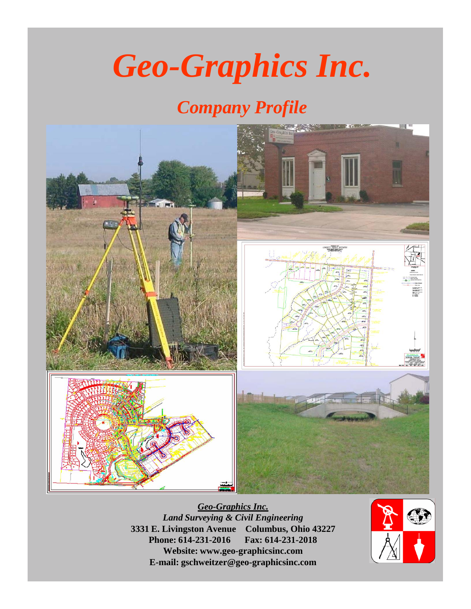# *Geo-Graphics Inc.*

# *Company Profile*



*Geo-Graphics Inc. Land Surveying & Civil Engineering* **3331 E. Livingston Avenue Columbus, Ohio 43227 Phone: 614-231-2016 Fax: 614-231-2018 Website: [www.geo-graphicsinc.com](http://www.geo-graphicsinc.com/) E-mail: [gschweitzer@geo-graphicsinc.com](mailto:gschweitzer@geo-graphicsinc.com)**

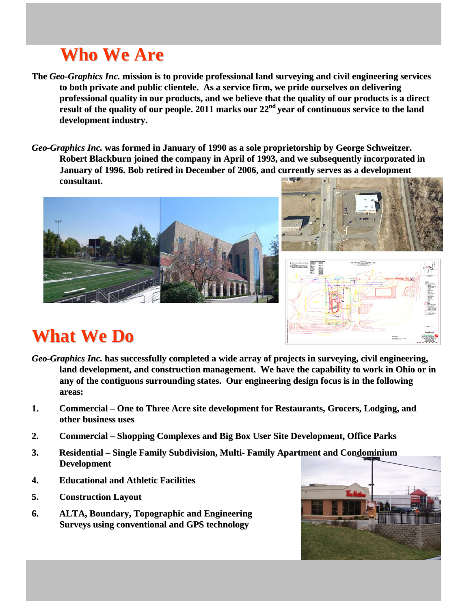# **Who We Are**

- **The** *Geo-Graphics Inc.* **mission is to provide professional land surveying and civil engineering services to both private and public clientele. As a service firm, we pride ourselves on delivering professional quality in our products, and we believe that the quality of our products is a direct result of the quality of our people. 2011 marks our 22 nd year of continuous service to the land development industry.**
- *Geo-Graphics Inc.* **was formed in January of 1990 as a sole proprietorship by George Schweitzer. Robert Blackburn joined the company in April of 1993, and we subsequently incorporated in January of 1996. Bob retired in December of 2006, and currently serves as a development consultant.**







## **What We Do**

- *Geo-Graphics Inc.* **has successfully completed a wide array of projects in surveying, civil engineering, land development, and construction management. We have the capability to work in Ohio or in any of the contiguous surrounding states. Our engineering design focus is in the following areas:**
- **1. Commercial – One to Three Acre site development for Restaurants, Grocers, Lodging, and other business uses**
- **2. Commercial – Shopping Complexes and Big Box User Site Development, Office Parks**
- **3. Residential – Single Family Subdivision, Multi- Family Apartment and Condominium Development**
- **4. Educational and Athletic Facilities**
- **5. Construction Layout**
- **6. ALTA, Boundary, Topographic and Engineering Surveys using conventional and GPS technology**

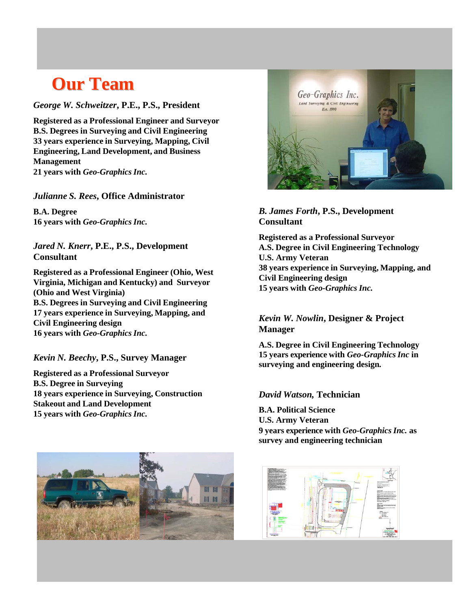### **Our Team**

*George W. Schweitzer***, P.E., P.S., President**

**Registered as a Professional Engineer and Surveyor B.S. Degrees in Surveying and Civil Engineering 33 years experience in Surveying, Mapping, Civil Engineering, Land Development, and Business Management 21 years with** *Geo-Graphics Inc.*

*Julianne S. Rees***, Office Administrator**

**B.A. Degree 16 years with** *Geo-Graphics Inc.*

*Jared N. Knerr***, P.E., P.S., Development Consultant**

**Registered as a Professional Engineer (Ohio, West Virginia, Michigan and Kentucky) and Surveyor (Ohio and West Virginia) B.S. Degrees in Surveying and Civil Engineering 17 years experience in Surveying, Mapping, and Civil Engineering design 16 years with** *Geo-Graphics Inc.*

*Kevin N. Beechy***, P.S., Survey Manager**

**Registered as a Professional Surveyor B.S. Degree in Surveying 18 years experience in Surveying, Construction Stakeout and Land Development 15 years with** *Geo-Graphics Inc.*





#### *B. James Forth***, P.S., Development Consultant**

**Registered as a Professional Surveyor A.S. Degree in Civil Engineering Technology U.S. Army Veteran 38 years experience in Surveying, Mapping, and Civil Engineering design 15 years with** *Geo-Graphics Inc.*

#### *Kevin W. Nowlin***, Designer & Project Manager**

**A.S. Degree in Civil Engineering Technology 15 years experience with** *Geo-Graphics Inc* **in surveying and engineering design***.* 

#### *David Watson,* **Technician**

**B.A. Political Science U.S. Army Veteran 9 years experience with** *Geo-Graphics Inc.* **as survey and engineering technician**